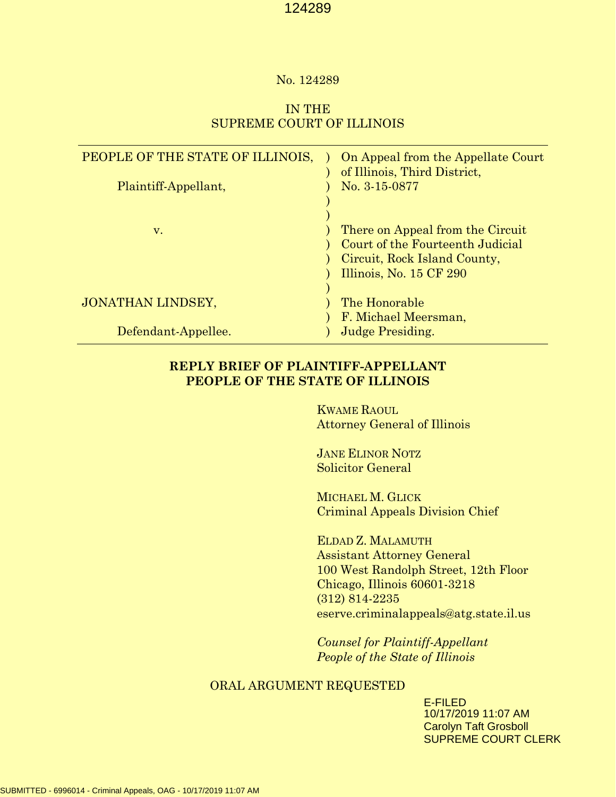#### No. 124289

## IN THE SUPREME COURT OF ILLINOIS

| PEOPLE OF THE STATE OF ILLINOIS,<br>Plaintiff-Appellant, | On Appeal from the Appellate Court<br>of Illinois, Third District,<br>No. 3-15-0877                                             |
|----------------------------------------------------------|---------------------------------------------------------------------------------------------------------------------------------|
| V.                                                       | There on Appeal from the Circuit<br>Court of the Fourteenth Judicial<br>Circuit, Rock Island County,<br>Illinois, No. 15 CF 290 |
| JONATHAN LINDSEY,                                        | The Honorable<br>F. Michael Meersman,                                                                                           |
| Defendant-Appellee.                                      | <b>Judge Presiding.</b>                                                                                                         |

## **REPLY BRIEF OF PLAINTIFF-APPELLANT PEOPLE OF THE STATE OF ILLINOIS**

KWAME RAOUL Attorney General of Illinois

JANE ELINOR NOTZ Solicitor General

MICHAEL M. GLICK Criminal Appeals Division Chief

ELDAD Z. MALAMUTH Assistant Attorney General 100 West Randolph Street, 12th Floor Chicago, Illinois 60601-3218 (312) 814-2235 eserve.criminalappeals@atg.state.il.us

*Counsel for Plaintiff-Appellant People of the State of Illinois* 

## ORAL ARGUMENT REQUESTED

E-FILED 10/17/2019 11:07 AM Carolyn Taft Grosboll SUPREME COURT CLERK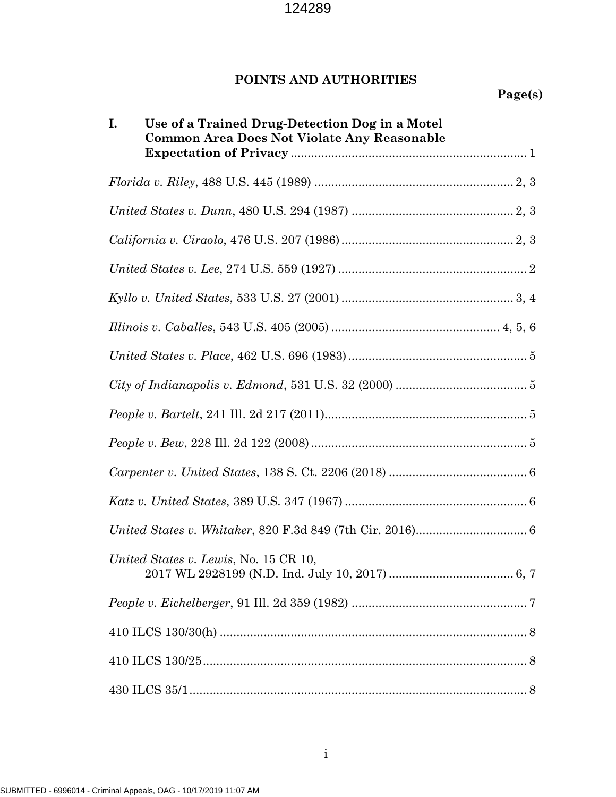# **POINTS AND AUTHORITIES**

| Use of a Trained Drug-Detection Dog in a Motel<br>I.<br>Common Area Does Not Violate Any Reasonable |  |
|-----------------------------------------------------------------------------------------------------|--|
|                                                                                                     |  |
|                                                                                                     |  |
|                                                                                                     |  |
|                                                                                                     |  |
|                                                                                                     |  |
|                                                                                                     |  |
|                                                                                                     |  |
|                                                                                                     |  |
|                                                                                                     |  |
|                                                                                                     |  |
|                                                                                                     |  |
|                                                                                                     |  |
|                                                                                                     |  |
| United States v. Lewis, No. 15 CR 10,                                                               |  |
|                                                                                                     |  |
|                                                                                                     |  |
|                                                                                                     |  |
|                                                                                                     |  |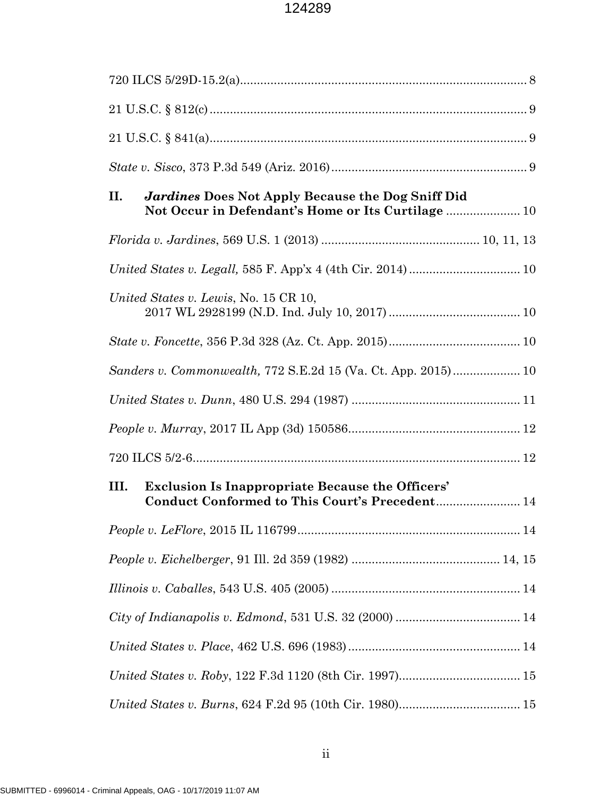| <b>Jardines Does Not Apply Because the Dog Sniff Did</b><br>П.<br>Not Occur in Defendant's Home or Its Curtilage  10 |  |  |  |
|----------------------------------------------------------------------------------------------------------------------|--|--|--|
|                                                                                                                      |  |  |  |
|                                                                                                                      |  |  |  |
| United States v. Lewis, No. 15 CR 10,                                                                                |  |  |  |
|                                                                                                                      |  |  |  |
| Sanders v. Commonwealth, 772 S.E.2d 15 (Va. Ct. App. 2015) 10                                                        |  |  |  |
|                                                                                                                      |  |  |  |
|                                                                                                                      |  |  |  |
|                                                                                                                      |  |  |  |
| <b>Exclusion Is Inappropriate Because the Officers'</b><br>III.<br>Conduct Conformed to This Court's Precedent 14    |  |  |  |
|                                                                                                                      |  |  |  |
|                                                                                                                      |  |  |  |
|                                                                                                                      |  |  |  |
|                                                                                                                      |  |  |  |
|                                                                                                                      |  |  |  |
|                                                                                                                      |  |  |  |
|                                                                                                                      |  |  |  |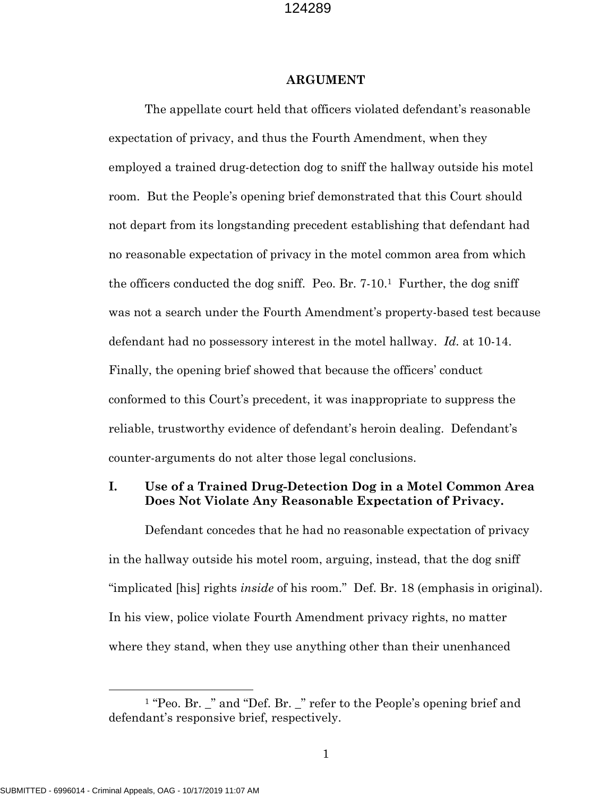#### **ARGUMENT**

The appellate court held that officers violated defendant's reasonable expectation of privacy, and thus the Fourth Amendment, when they employed a trained drug-detection dog to sniff the hallway outside his motel room. But the People's opening brief demonstrated that this Court should not depart from its longstanding precedent establishing that defendant had no reasonable expectation of privacy in the motel common area from which the officers conducted the dog sniff. Peo. Br.  $7-10<sup>1</sup>$  $7-10<sup>1</sup>$  $7-10<sup>1</sup>$  Further, the dog sniff was not a search under the Fourth Amendment's property-based test because defendant had no possessory interest in the motel hallway. *Id.* at 10-14. Finally, the opening brief showed that because the officers' conduct conformed to this Court's precedent, it was inappropriate to suppress the reliable, trustworthy evidence of defendant's heroin dealing. Defendant's counter-arguments do not alter those legal conclusions.

## **I. Use of a Trained Drug-Detection Dog in a Motel Common Area Does Not Violate Any Reasonable Expectation of Privacy.**

Defendant concedes that he had no reasonable expectation of privacy in the hallway outside his motel room, arguing, instead, that the dog sniff "implicated [his] rights *inside* of his room." Def. Br. 18 (emphasis in original). In his view, police violate Fourth Amendment privacy rights, no matter where they stand, when they use anything other than their unenhanced

<span id="page-4-0"></span> $1$  "Peo. Br. " and "Def. Br. " refer to the People's opening brief and defendant's responsive brief, respectively.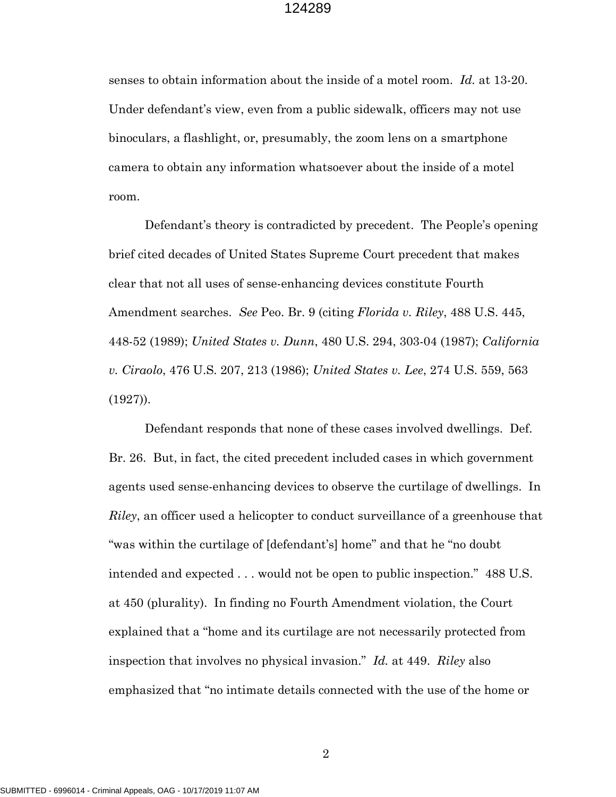senses to obtain information about the inside of a motel room. *Id.* at 13-20. Under defendant's view, even from a public sidewalk, officers may not use binoculars, a flashlight, or, presumably, the zoom lens on a smartphone camera to obtain any information whatsoever about the inside of a motel room.

Defendant's theory is contradicted by precedent. The People's opening brief cited decades of United States Supreme Court precedent that makes clear that not all uses of sense-enhancing devices constitute Fourth Amendment searches. *See* Peo. Br. 9 (citing *Florida v. Riley*, 488 U.S. 445, 448-52 (1989); *United States v. Dunn*, 480 U.S. 294, 303-04 (1987); *California v. Ciraolo*, 476 U.S. 207, 213 (1986); *United States v. Lee*, 274 U.S. 559, 563 (1927)).

Defendant responds that none of these cases involved dwellings. Def. Br. 26. But, in fact, the cited precedent included cases in which government agents used sense-enhancing devices to observe the curtilage of dwellings. In *Riley*, an officer used a helicopter to conduct surveillance of a greenhouse that "was within the curtilage of [defendant's] home" and that he "no doubt intended and expected . . . would not be open to public inspection." 488 U.S. at 450 (plurality). In finding no Fourth Amendment violation, the Court explained that a "home and its curtilage are not necessarily protected from inspection that involves no physical invasion." *Id.* at 449. *Riley* also emphasized that "no intimate details connected with the use of the home or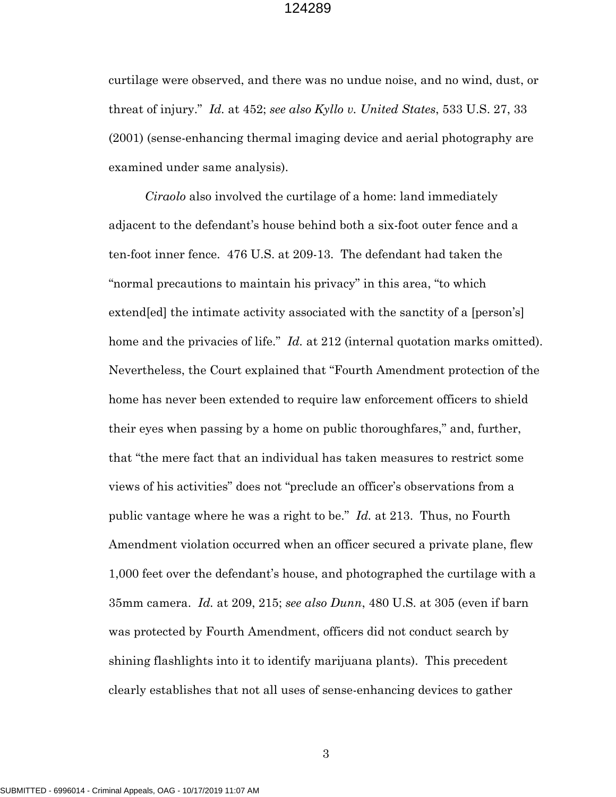curtilage were observed, and there was no undue noise, and no wind, dust, or threat of injury." *Id.* at 452; *see also Kyllo v. United States*, 533 U.S. 27, 33 (2001) (sense-enhancing thermal imaging device and aerial photography are examined under same analysis).

*Ciraolo* also involved the curtilage of a home: land immediately adjacent to the defendant's house behind both a six-foot outer fence and a ten-foot inner fence. 476 U.S. at 209-13. The defendant had taken the "normal precautions to maintain his privacy" in this area, "to which extend[ed] the intimate activity associated with the sanctity of a [person's] home and the privacies of life." *Id.* at 212 (internal quotation marks omitted). Nevertheless, the Court explained that "Fourth Amendment protection of the home has never been extended to require law enforcement officers to shield their eyes when passing by a home on public thoroughfares," and, further, that "the mere fact that an individual has taken measures to restrict some views of his activities" does not "preclude an officer's observations from a public vantage where he was a right to be." *Id.* at 213. Thus, no Fourth Amendment violation occurred when an officer secured a private plane, flew 1,000 feet over the defendant's house, and photographed the curtilage with a 35mm camera. *Id.* at 209, 215; *see also Dunn*, 480 U.S. at 305 (even if barn was protected by Fourth Amendment, officers did not conduct search by shining flashlights into it to identify marijuana plants). This precedent clearly establishes that not all uses of sense-enhancing devices to gather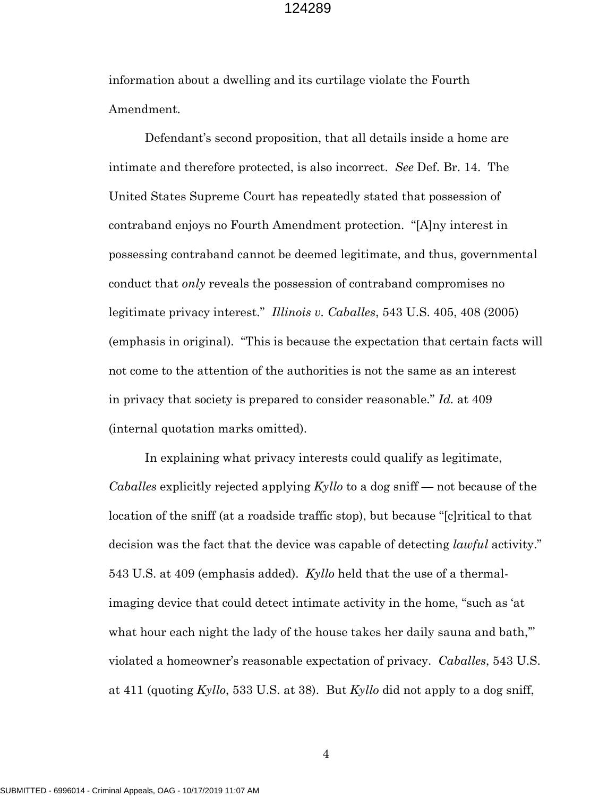information about a dwelling and its curtilage violate the Fourth Amendment.

Defendant's second proposition, that all details inside a home are intimate and therefore protected, is also incorrect. *See* Def. Br. 14. The United States Supreme Court has repeatedly stated that possession of contraband enjoys no Fourth Amendment protection. "[A]ny interest in possessing contraband cannot be deemed legitimate, and thus, governmental conduct that *only* reveals the possession of contraband compromises no legitimate privacy interest." *Illinois v. Caballes*, 543 U.S. 405, 408 (2005) (emphasis in original). "This is because the expectation that certain facts will not come to the attention of the authorities is not the same as an interest in privacy that society is prepared to consider reasonable." *Id.* at 409 (internal quotation marks omitted).

In explaining what privacy interests could qualify as legitimate, *Caballes* explicitly rejected applying *Kyllo* to a dog sniff — not because of the location of the sniff (at a roadside traffic stop), but because "[c]ritical to that decision was the fact that the device was capable of detecting *lawful* activity." 543 U.S. at 409 (emphasis added). *Kyllo* held that the use of a thermalimaging device that could detect intimate activity in the home, "such as 'at what hour each night the lady of the house takes her daily sauna and bath," violated a homeowner's reasonable expectation of privacy. *Caballes*, 543 U.S. at 411 (quoting *Kyllo*, 533 U.S. at 38). But *Kyllo* did not apply to a dog sniff,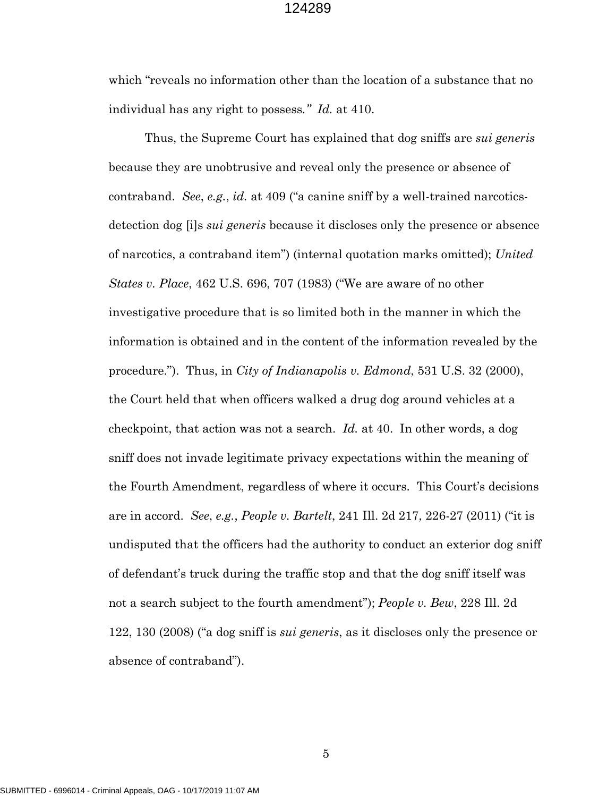which "reveals no information other than the location of a substance that no individual has any right to possess*." Id.* at 410.

Thus, the Supreme Court has explained that dog sniffs are *sui generis* because they are unobtrusive and reveal only the presence or absence of contraband. *See*, *e.g.*, *id.* at 409 ("a canine sniff by a well-trained narcoticsdetection dog [i]s *sui generis* because it discloses only the presence or absence of narcotics, a contraband item") (internal quotation marks omitted); *United States v. Place*, 462 U.S. 696, 707 (1983) ("We are aware of no other investigative procedure that is so limited both in the manner in which the information is obtained and in the content of the information revealed by the procedure."). Thus, in *City of Indianapolis v. Edmond*, 531 U.S. 32 (2000), the Court held that when officers walked a drug dog around vehicles at a checkpoint, that action was not a search. *Id.* at 40. In other words, a dog sniff does not invade legitimate privacy expectations within the meaning of the Fourth Amendment, regardless of where it occurs. This Court's decisions are in accord. *See*, *e.g.*, *People v. Bartelt*, 241 Ill. 2d 217, 226-27 (2011) ("it is undisputed that the officers had the authority to conduct an exterior dog sniff of defendant's truck during the traffic stop and that the dog sniff itself was not a search subject to the fourth amendment"); *People v. Bew*, 228 Ill. 2d 122, 130 (2008) ("a dog sniff is *sui generis*, as it discloses only the presence or absence of contraband").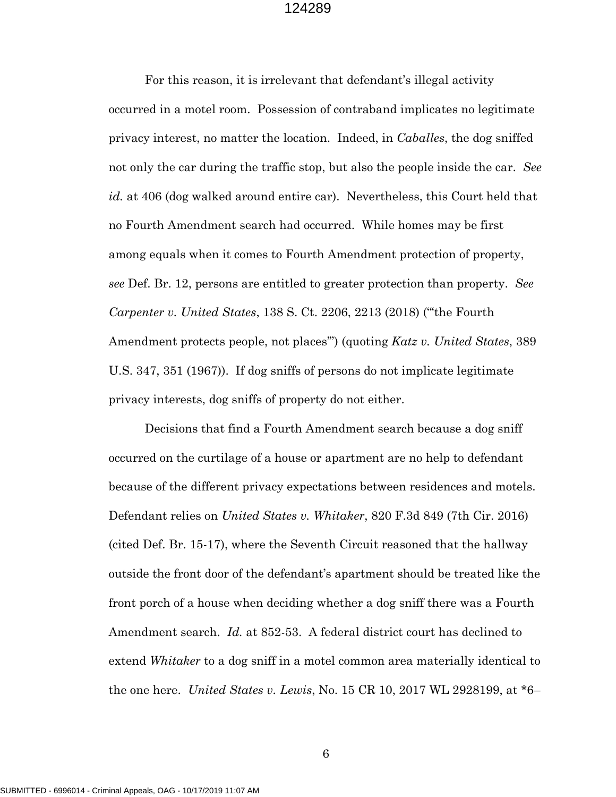For this reason, it is irrelevant that defendant's illegal activity occurred in a motel room. Possession of contraband implicates no legitimate privacy interest, no matter the location. Indeed, in *Caballes*, the dog sniffed not only the car during the traffic stop, but also the people inside the car. *See id.* at 406 (dog walked around entire car). Nevertheless, this Court held that no Fourth Amendment search had occurred. While homes may be first among equals when it comes to Fourth Amendment protection of property, *see* Def. Br. 12, persons are entitled to greater protection than property. *See Carpenter v. United States*, 138 S. Ct. 2206, 2213 (2018) ("'the Fourth Amendment protects people, not places'") (quoting *Katz v. United States*, 389 U.S. 347, 351 (1967)). If dog sniffs of persons do not implicate legitimate privacy interests, dog sniffs of property do not either.

Decisions that find a Fourth Amendment search because a dog sniff occurred on the curtilage of a house or apartment are no help to defendant because of the different privacy expectations between residences and motels. Defendant relies on *United States v. Whitaker*, 820 F.3d 849 (7th Cir. 2016) (cited Def. Br. 15-17), where the Seventh Circuit reasoned that the hallway outside the front door of the defendant's apartment should be treated like the front porch of a house when deciding whether a dog sniff there was a Fourth Amendment search. *Id.* at 852-53. A federal district court has declined to extend *Whitaker* to a dog sniff in a motel common area materially identical to the one here. *United States v. Lewis*, No. 15 CR 10, 2017 WL 2928199, at \*6–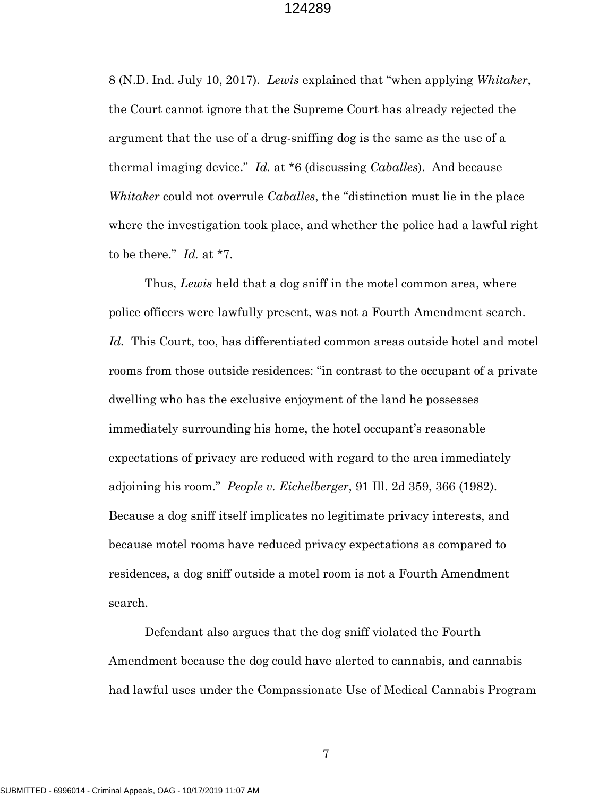8 (N.D. Ind. July 10, 2017). *Lewis* explained that "when applying *Whitaker*, the Court cannot ignore that the Supreme Court has already rejected the argument that the use of a drug-sniffing dog is the same as the use of a thermal imaging device." *Id.* at \*6 (discussing *Caballes*). And because *Whitaker* could not overrule *Caballes*, the "distinction must lie in the place where the investigation took place, and whether the police had a lawful right to be there." *Id.* at \*7.

Thus, *Lewis* held that a dog sniff in the motel common area, where police officers were lawfully present, was not a Fourth Amendment search. *Id.* This Court, too, has differentiated common areas outside hotel and motel rooms from those outside residences: "in contrast to the occupant of a private dwelling who has the exclusive enjoyment of the land he possesses immediately surrounding his home, the hotel occupant's reasonable expectations of privacy are reduced with regard to the area immediately adjoining his room." *People v. Eichelberger*, 91 Ill. 2d 359, 366 (1982). Because a dog sniff itself implicates no legitimate privacy interests, and because motel rooms have reduced privacy expectations as compared to residences, a dog sniff outside a motel room is not a Fourth Amendment search.

Defendant also argues that the dog sniff violated the Fourth Amendment because the dog could have alerted to cannabis, and cannabis had lawful uses under the Compassionate Use of Medical Cannabis Program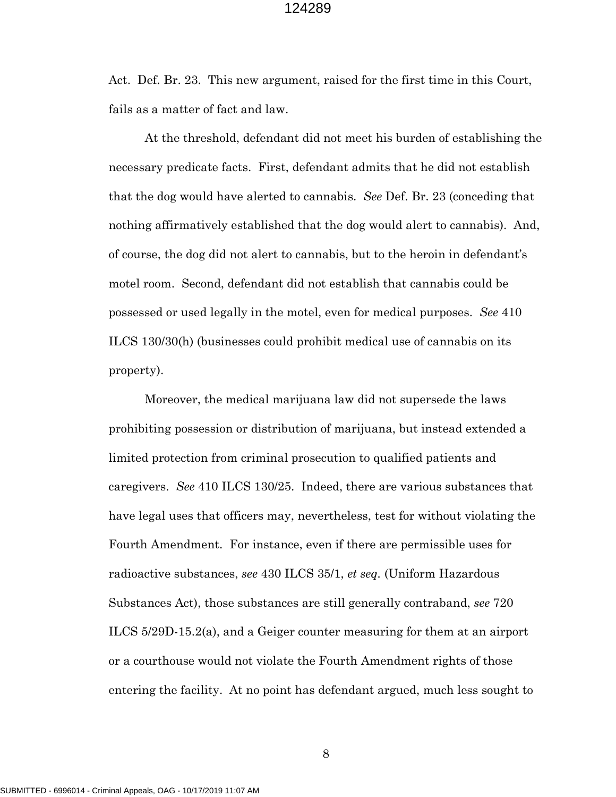Act. Def. Br. 23. This new argument, raised for the first time in this Court, fails as a matter of fact and law.

At the threshold, defendant did not meet his burden of establishing the necessary predicate facts. First, defendant admits that he did not establish that the dog would have alerted to cannabis. *See* Def. Br. 23 (conceding that nothing affirmatively established that the dog would alert to cannabis). And, of course, the dog did not alert to cannabis, but to the heroin in defendant's motel room. Second, defendant did not establish that cannabis could be possessed or used legally in the motel, even for medical purposes. *See* 410 ILCS 130/30(h) (businesses could prohibit medical use of cannabis on its property).

Moreover, the medical marijuana law did not supersede the laws prohibiting possession or distribution of marijuana, but instead extended a limited protection from criminal prosecution to qualified patients and caregivers. *See* 410 ILCS 130/25. Indeed, there are various substances that have legal uses that officers may, nevertheless, test for without violating the Fourth Amendment. For instance, even if there are permissible uses for radioactive substances, *see* 430 ILCS 35/1, *et seq.* (Uniform Hazardous Substances Act), those substances are still generally contraband, *see* 720 ILCS 5/29D-15.2(a), and a Geiger counter measuring for them at an airport or a courthouse would not violate the Fourth Amendment rights of those entering the facility. At no point has defendant argued, much less sought to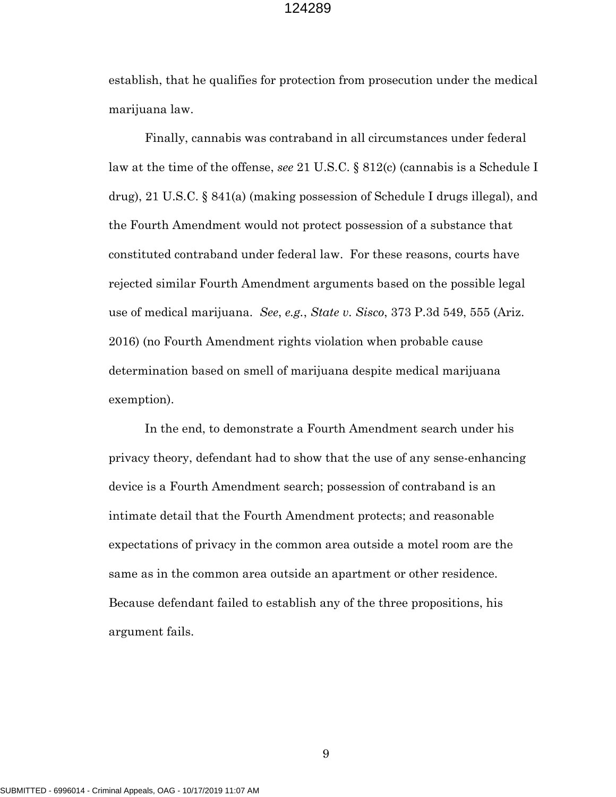establish, that he qualifies for protection from prosecution under the medical marijuana law.

Finally, cannabis was contraband in all circumstances under federal law at the time of the offense, *see* 21 U.S.C. § 812(c) (cannabis is a Schedule I drug), 21 U.S.C. § 841(a) (making possession of Schedule I drugs illegal), and the Fourth Amendment would not protect possession of a substance that constituted contraband under federal law. For these reasons, courts have rejected similar Fourth Amendment arguments based on the possible legal use of medical marijuana. *See*, *e.g.*, *State v. Sisco*, 373 P.3d 549, 555 (Ariz. 2016) (no Fourth Amendment rights violation when probable cause determination based on smell of marijuana despite medical marijuana exemption).

In the end, to demonstrate a Fourth Amendment search under his privacy theory, defendant had to show that the use of any sense-enhancing device is a Fourth Amendment search; possession of contraband is an intimate detail that the Fourth Amendment protects; and reasonable expectations of privacy in the common area outside a motel room are the same as in the common area outside an apartment or other residence. Because defendant failed to establish any of the three propositions, his argument fails.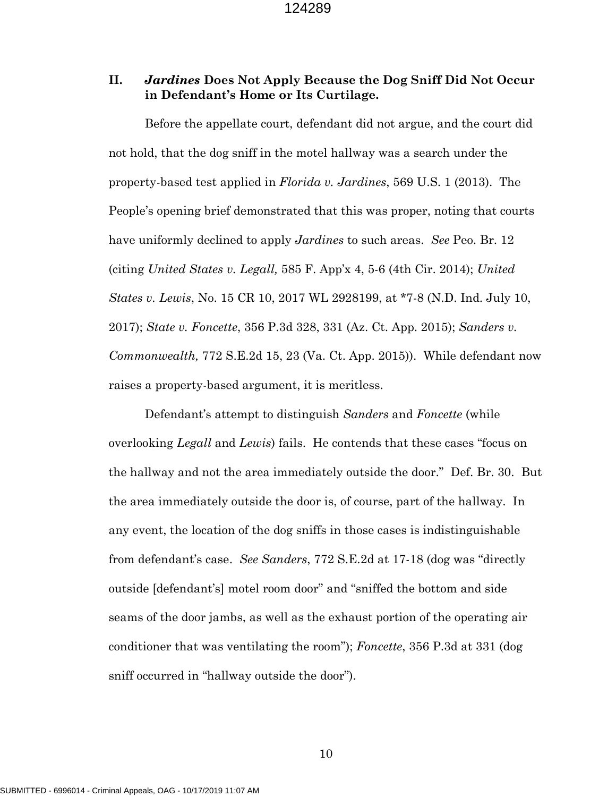## **II.** *Jardines* **Does Not Apply Because the Dog Sniff Did Not Occur in Defendant's Home or Its Curtilage.**

Before the appellate court, defendant did not argue, and the court did not hold, that the dog sniff in the motel hallway was a search under the property-based test applied in *Florida v. Jardines*, 569 U.S. 1 (2013). The People's opening brief demonstrated that this was proper, noting that courts have uniformly declined to apply *Jardines* to such areas. *See* Peo. Br. 12 (citing *United States v. Legall,* 585 F. App'x 4, 5-6 (4th Cir. 2014); *United States v. Lewis*, No. 15 CR 10, 2017 WL 2928199, at \*7-8 (N.D. Ind. July 10, 2017); *State v. Foncette*, 356 P.3d 328, 331 (Az. Ct. App. 2015); *Sanders v. Commonwealth,* 772 S.E.2d 15, 23 (Va. Ct. App. 2015)). While defendant now raises a property-based argument, it is meritless.

Defendant's attempt to distinguish *Sanders* and *Foncette* (while overlooking *Legall* and *Lewis*) fails. He contends that these cases "focus on the hallway and not the area immediately outside the door." Def. Br. 30. But the area immediately outside the door is, of course, part of the hallway. In any event, the location of the dog sniffs in those cases is indistinguishable from defendant's case. *See Sanders*, 772 S.E.2d at 17-18 (dog was "directly outside [defendant's] motel room door" and "sniffed the bottom and side seams of the door jambs, as well as the exhaust portion of the operating air conditioner that was ventilating the room"); *Foncette*, 356 P.3d at 331 (dog sniff occurred in "hallway outside the door").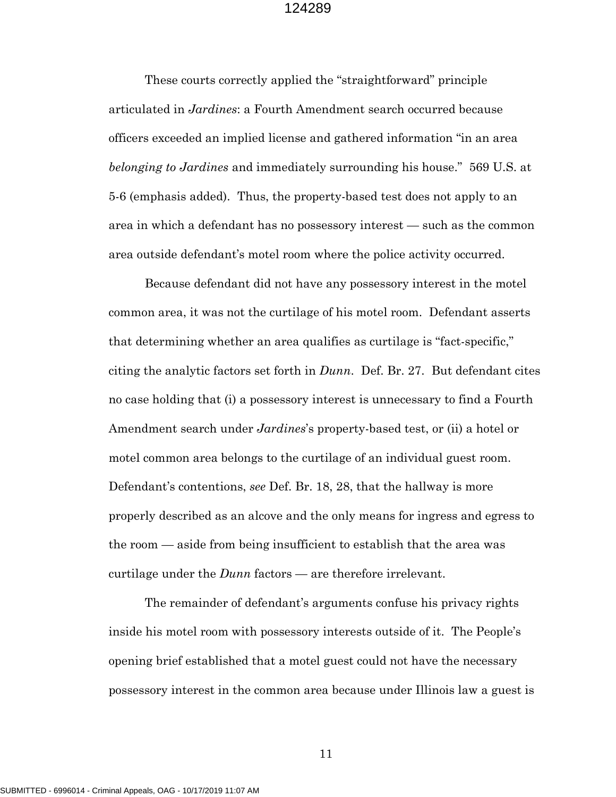These courts correctly applied the "straightforward" principle articulated in *Jardines*: a Fourth Amendment search occurred because officers exceeded an implied license and gathered information "in an area *belonging to Jardines* and immediately surrounding his house." 569 U.S. at 5-6 (emphasis added). Thus, the property-based test does not apply to an area in which a defendant has no possessory interest — such as the common area outside defendant's motel room where the police activity occurred.

Because defendant did not have any possessory interest in the motel common area, it was not the curtilage of his motel room. Defendant asserts that determining whether an area qualifies as curtilage is "fact-specific," citing the analytic factors set forth in *Dunn*. Def. Br. 27. But defendant cites no case holding that (i) a possessory interest is unnecessary to find a Fourth Amendment search under *Jardines*'s property-based test, or (ii) a hotel or motel common area belongs to the curtilage of an individual guest room. Defendant's contentions, *see* Def. Br. 18, 28, that the hallway is more properly described as an alcove and the only means for ingress and egress to the room — aside from being insufficient to establish that the area was curtilage under the *Dunn* factors — are therefore irrelevant.

The remainder of defendant's arguments confuse his privacy rights inside his motel room with possessory interests outside of it. The People's opening brief established that a motel guest could not have the necessary possessory interest in the common area because under Illinois law a guest is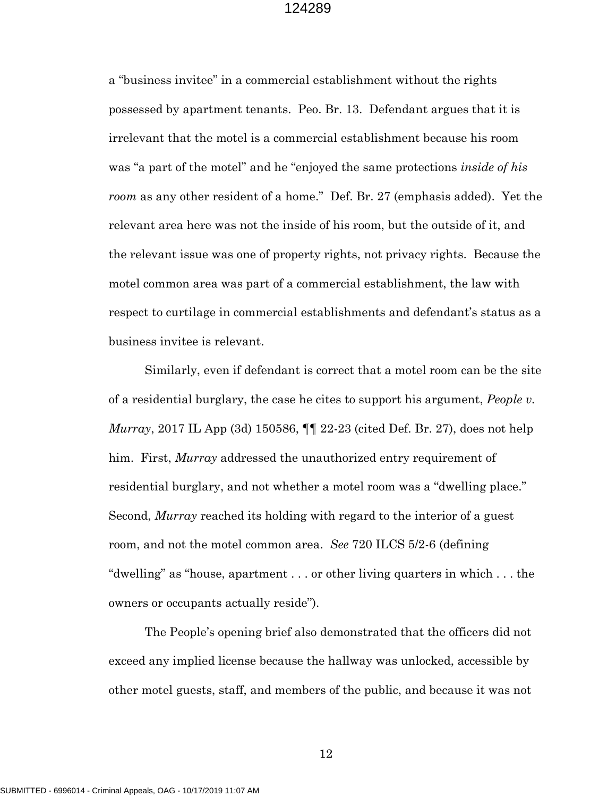a "business invitee" in a commercial establishment without the rights possessed by apartment tenants. Peo. Br. 13. Defendant argues that it is irrelevant that the motel is a commercial establishment because his room was "a part of the motel" and he "enjoyed the same protections *inside of his room* as any other resident of a home." Def. Br. 27 (emphasis added). Yet the relevant area here was not the inside of his room, but the outside of it, and the relevant issue was one of property rights, not privacy rights. Because the motel common area was part of a commercial establishment, the law with respect to curtilage in commercial establishments and defendant's status as a business invitee is relevant.

Similarly, even if defendant is correct that a motel room can be the site of a residential burglary, the case he cites to support his argument, *People v. Murray*, 2017 IL App (3d) 150586, ¶¶ 22-23 (cited Def. Br. 27), does not help him. First, *Murray* addressed the unauthorized entry requirement of residential burglary, and not whether a motel room was a "dwelling place." Second, *Murray* reached its holding with regard to the interior of a guest room, and not the motel common area. *See* 720 ILCS 5/2-6 (defining "dwelling" as "house, apartment . . . or other living quarters in which . . . the owners or occupants actually reside").

The People's opening brief also demonstrated that the officers did not exceed any implied license because the hallway was unlocked, accessible by other motel guests, staff, and members of the public, and because it was not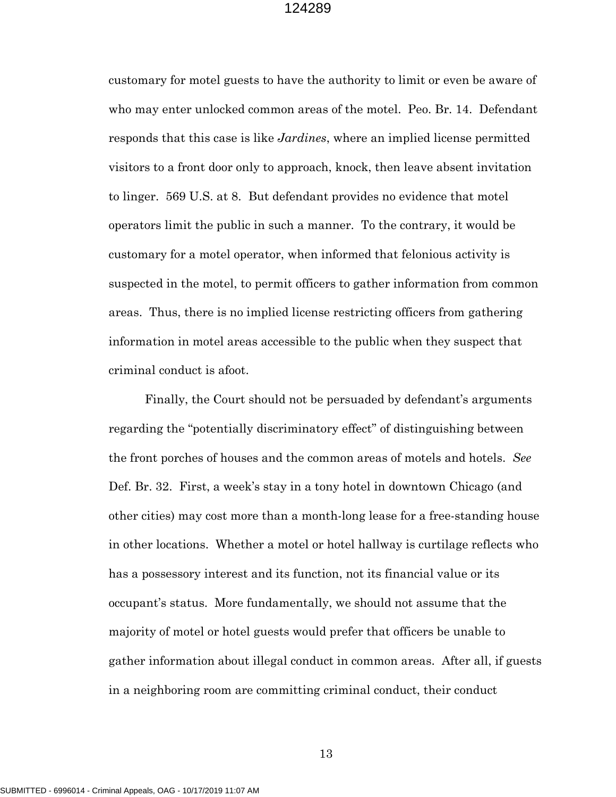customary for motel guests to have the authority to limit or even be aware of who may enter unlocked common areas of the motel. Peo. Br. 14. Defendant responds that this case is like *Jardines*, where an implied license permitted visitors to a front door only to approach, knock, then leave absent invitation to linger. 569 U.S. at 8. But defendant provides no evidence that motel operators limit the public in such a manner. To the contrary, it would be customary for a motel operator, when informed that felonious activity is suspected in the motel, to permit officers to gather information from common areas. Thus, there is no implied license restricting officers from gathering information in motel areas accessible to the public when they suspect that criminal conduct is afoot.

Finally, the Court should not be persuaded by defendant's arguments regarding the "potentially discriminatory effect" of distinguishing between the front porches of houses and the common areas of motels and hotels. *See*  Def. Br. 32. First, a week's stay in a tony hotel in downtown Chicago (and other cities) may cost more than a month-long lease for a free-standing house in other locations. Whether a motel or hotel hallway is curtilage reflects who has a possessory interest and its function, not its financial value or its occupant's status. More fundamentally, we should not assume that the majority of motel or hotel guests would prefer that officers be unable to gather information about illegal conduct in common areas. After all, if guests in a neighboring room are committing criminal conduct, their conduct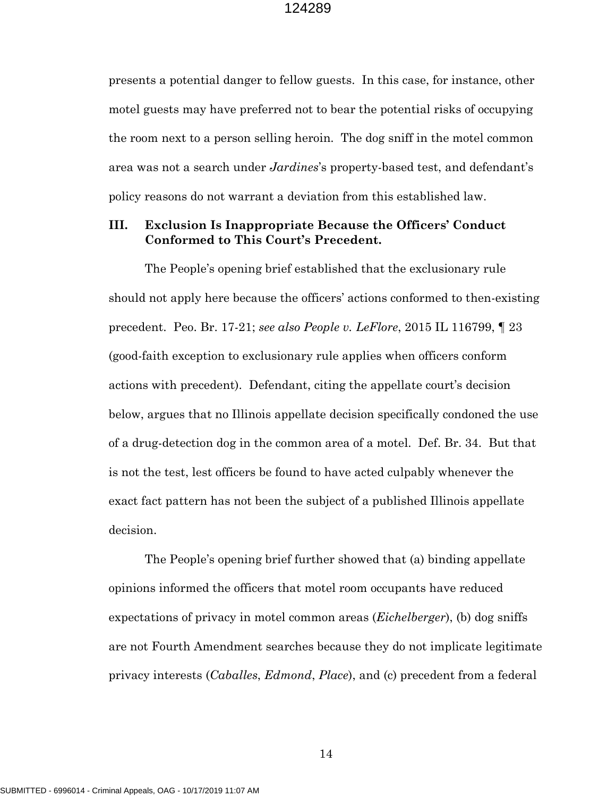presents a potential danger to fellow guests. In this case, for instance, other motel guests may have preferred not to bear the potential risks of occupying the room next to a person selling heroin. The dog sniff in the motel common area was not a search under *Jardines*'s property-based test, and defendant's policy reasons do not warrant a deviation from this established law.

## **III. Exclusion Is Inappropriate Because the Officers' Conduct Conformed to This Court's Precedent.**

The People's opening brief established that the exclusionary rule should not apply here because the officers' actions conformed to then-existing precedent. Peo. Br. 17-21; *see also People v. LeFlore*, 2015 IL 116799, ¶ 23 (good-faith exception to exclusionary rule applies when officers conform actions with precedent). Defendant, citing the appellate court's decision below, argues that no Illinois appellate decision specifically condoned the use of a drug-detection dog in the common area of a motel. Def. Br. 34. But that is not the test, lest officers be found to have acted culpably whenever the exact fact pattern has not been the subject of a published Illinois appellate decision.

The People's opening brief further showed that (a) binding appellate opinions informed the officers that motel room occupants have reduced expectations of privacy in motel common areas (*Eichelberger*), (b) dog sniffs are not Fourth Amendment searches because they do not implicate legitimate privacy interests (*Caballes*, *Edmond*, *Place*), and (c) precedent from a federal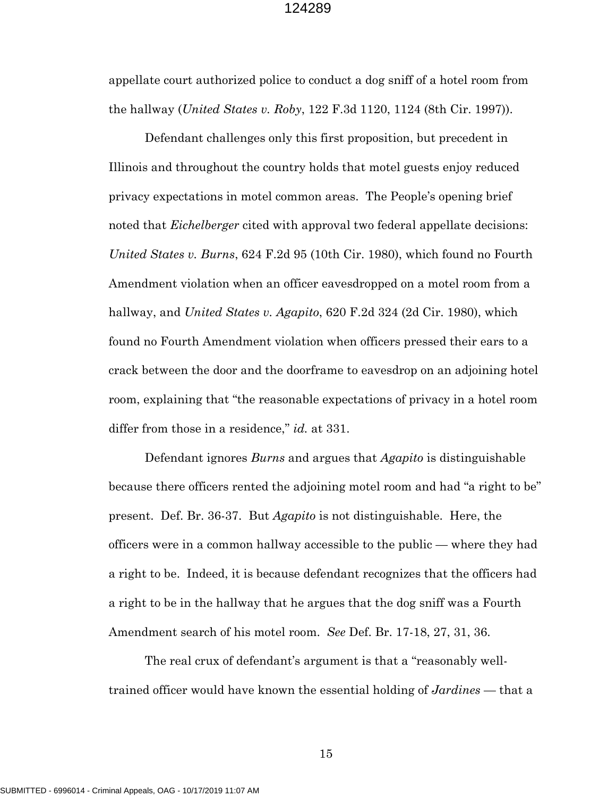appellate court authorized police to conduct a dog sniff of a hotel room from the hallway (*United States v. Roby*, 122 F.3d 1120, 1124 (8th Cir. 1997)).

Defendant challenges only this first proposition, but precedent in Illinois and throughout the country holds that motel guests enjoy reduced privacy expectations in motel common areas. The People's opening brief noted that *Eichelberger* cited with approval two federal appellate decisions: *United States v. Burns*, 624 F.2d 95 (10th Cir. 1980), which found no Fourth Amendment violation when an officer eavesdropped on a motel room from a hallway, and *United States v. Agapito*, 620 F.2d 324 (2d Cir. 1980), which found no Fourth Amendment violation when officers pressed their ears to a crack between the door and the doorframe to eavesdrop on an adjoining hotel room, explaining that "the reasonable expectations of privacy in a hotel room differ from those in a residence," *id.* at 331.

Defendant ignores *Burns* and argues that *Agapito* is distinguishable because there officers rented the adjoining motel room and had "a right to be" present. Def. Br. 36-37. But *Agapito* is not distinguishable. Here, the officers were in a common hallway accessible to the public — where they had a right to be. Indeed, it is because defendant recognizes that the officers had a right to be in the hallway that he argues that the dog sniff was a Fourth Amendment search of his motel room. *See* Def. Br. 17-18, 27, 31, 36.

The real crux of defendant's argument is that a "reasonably welltrained officer would have known the essential holding of *Jardines* — that a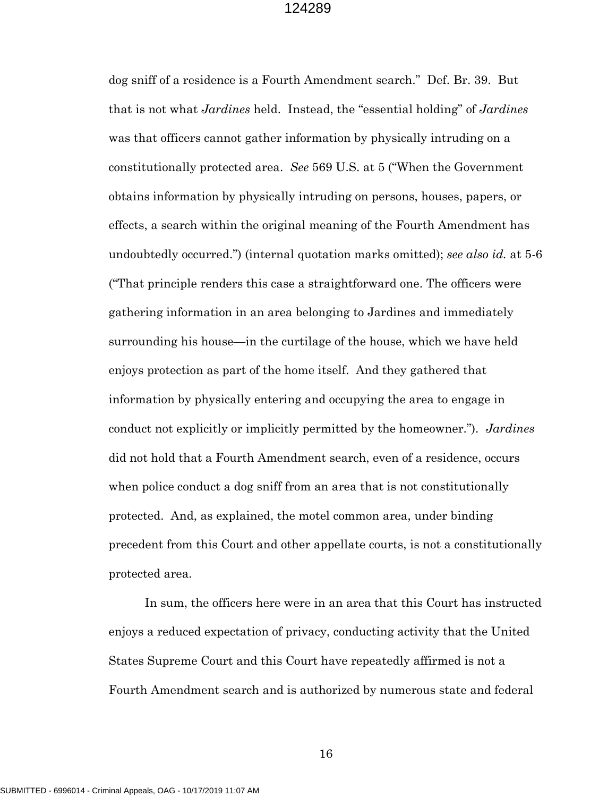dog sniff of a residence is a Fourth Amendment search." Def. Br. 39. But that is not what *Jardines* held. Instead, the "essential holding" of *Jardines*  was that officers cannot gather information by physically intruding on a constitutionally protected area. *See* 569 U.S. at 5 ("When the Government obtains information by physically intruding on persons, houses, papers, or effects, a search within the original meaning of the Fourth Amendment has undoubtedly occurred.") (internal quotation marks omitted); *see also id.* at 5-6 ("That principle renders this case a straightforward one. The officers were gathering information in an area belonging to Jardines and immediately surrounding his house—in the curtilage of the house, which we have held enjoys protection as part of the home itself. And they gathered that information by physically entering and occupying the area to engage in conduct not explicitly or implicitly permitted by the homeowner."). *Jardines*  did not hold that a Fourth Amendment search, even of a residence, occurs when police conduct a dog sniff from an area that is not constitutionally protected. And, as explained, the motel common area, under binding precedent from this Court and other appellate courts, is not a constitutionally protected area.

In sum, the officers here were in an area that this Court has instructed enjoys a reduced expectation of privacy, conducting activity that the United States Supreme Court and this Court have repeatedly affirmed is not a Fourth Amendment search and is authorized by numerous state and federal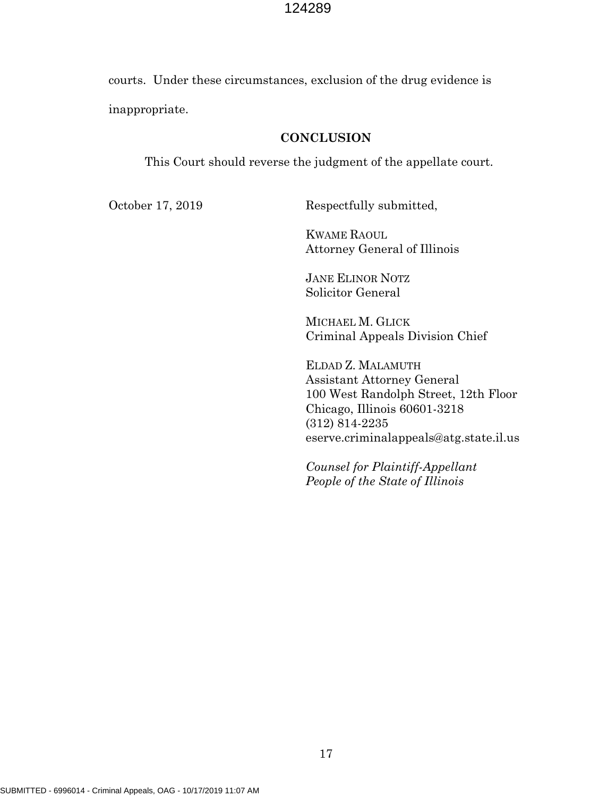courts. Under these circumstances, exclusion of the drug evidence is inappropriate.

### **CONCLUSION**

This Court should reverse the judgment of the appellate court.

October 17, 2019 Respectfully submitted,

KWAME RAOUL Attorney General of Illinois

JANE ELINOR NOTZ Solicitor General

MICHAEL M. GLICK Criminal Appeals Division Chief

ELDAD Z. MALAMUTH Assistant Attorney General 100 West Randolph Street, 12th Floor Chicago, Illinois 60601-3218 (312) 814-2235 eserve.criminalappeals@atg.state.il.us

*Counsel for Plaintiff-Appellant People of the State of Illinois*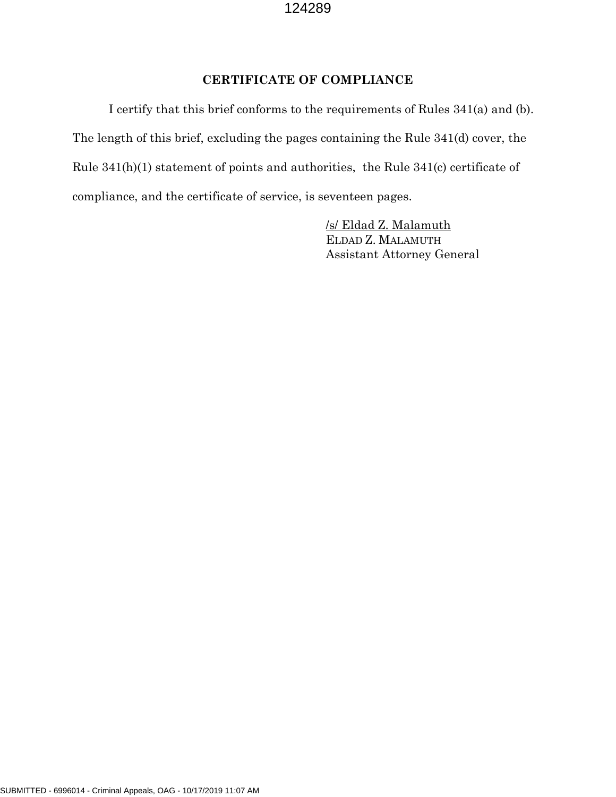## **CERTIFICATE OF COMPLIANCE**

I certify that this brief conforms to the requirements of Rules 341(a) and (b). The length of this brief, excluding the pages containing the Rule 341(d) cover, the Rule 341(h)(1) statement of points and authorities, the Rule 341(c) certificate of compliance, and the certificate of service, is seventeen pages.

> /s/ Eldad Z. Malamuth ELDAD Z. MALAMUTH Assistant Attorney General